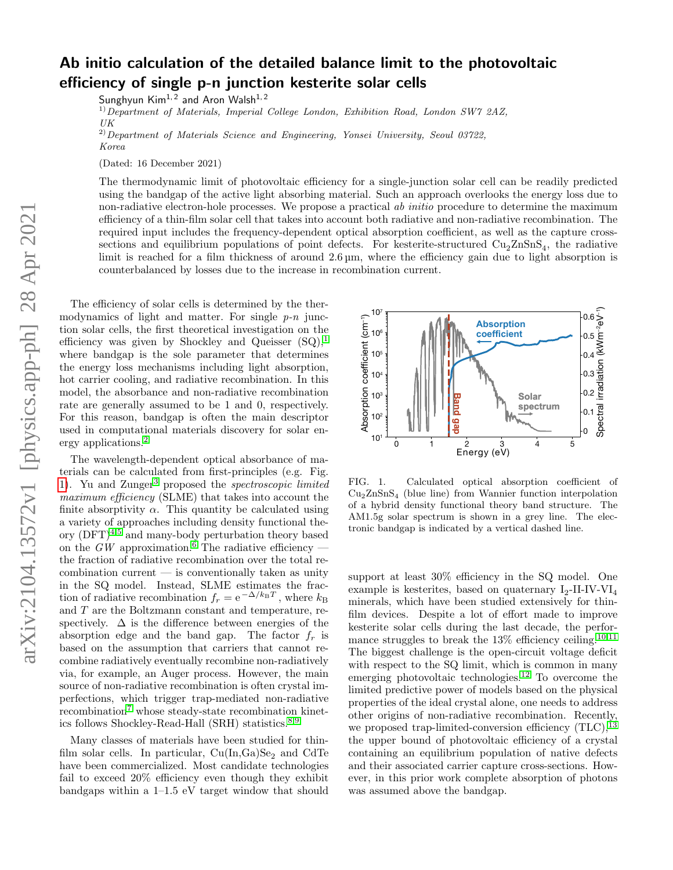## Ab initio calculation of the detailed balance limit to the photovoltaic efficiency of single p-n junction kesterite solar cells

Sunghyun  $Kim<sup>1, 2</sup>$  and Aron Walsh<sup>1,2</sup>

 $1)$ Department of Materials, Imperial College London, Exhibition Road, London SW7 2AZ, UK

<sup>2)</sup>Department of Materials Science and Engineering, Yonsei University, Seoul 03722, Korea

(Dated: 16 December 2021)

The thermodynamic limit of photovoltaic efficiency for a single-junction solar cell can be readily predicted using the bandgap of the active light absorbing material. Such an approach overlooks the energy loss due to non-radiative electron-hole processes. We propose a practical ab *initio* procedure to determine the maximum efficiency of a thin-film solar cell that takes into account both radiative and non-radiative recombination. The required input includes the frequency-dependent optical absorption coefficient, as well as the capture crosssections and equilibrium populations of point defects. For kesterite-structured  $\text{Cu}_2\text{ZnSnS}_4$ , the radiative limit is reached for a film thickness of around  $2.6 \,\mu$ m, where the efficiency gain due to light absorption is counterbalanced by losses due to the increase in recombination current.

The efficiency of solar cells is determined by the thermodynamics of light and matter. For single  $p-n$  junction solar cells, the first theoretical investigation on the efficiency was given by Shockley and Queisser  $(SQ)$ , where bandgap is the sole parameter that determines the energy loss mechanisms including light absorption, hot carrier cooling, and radiative recombination. In this model, the absorbance and non-radiative recombination rate are generally assumed to be 1 and 0, respectively. For this reason, bandgap is often the main descriptor used in computational materials discovery for solar energy applications.[2](#page-3-1)

The wavelength-dependent optical absorbance of materials can be calculated from first-principles (e.g. Fig. [1\)](#page-0-0). Yu and Zunger<sup>[3](#page-3-2)</sup> proposed the *spectroscopic limited* maximum efficiency (SLME) that takes into account the finite absorptivity  $\alpha$ . This quantity be calculated using a variety of approaches including density functional theory  $(DFT)^{4,5}$  $(DFT)^{4,5}$  $(DFT)^{4,5}$  $(DFT)^{4,5}$  and many-body perturbation theory based on the GW approximation.<sup>[6](#page-3-5)</sup> The radiative efficiency the fraction of radiative recombination over the total re $combination current — is conventionally taken as unity$ in the SQ model. Instead, SLME estimates the fraction of radiative recombination  $f_r = e^{-\Delta/k_B T}$ , where  $k_B$ and T are the Boltzmann constant and temperature, respectively.  $\Delta$  is the difference between energies of the absorption edge and the band gap. The factor  $f_r$  is based on the assumption that carriers that cannot recombine radiatively eventually recombine non-radiatively via, for example, an Auger process. However, the main source of non-radiative recombination is often crystal imperfections, which trigger trap-mediated non-radiative  $recombination<sup>7</sup>$  $recombination<sup>7</sup>$  $recombination<sup>7</sup>$  whose steady-state recombination kinetics follows Shockley-Read-Hall (SRH) statistics.[8](#page-3-7)[,9](#page-3-8)

Many classes of materials have been studied for thinfilm solar cells. In particular,  $Cu(In,Ga)Se<sub>2</sub>$  and CdTe have been commercialized. Most candidate technologies fail to exceed 20% efficiency even though they exhibit bandgaps within a 1–1.5 eV target window that should



<span id="page-0-0"></span>FIG. 1. Calculated optical absorption coefficient of  $Cu<sub>2</sub>ZnSnS<sub>4</sub>$  (blue line) from Wannier function interpolation of a hybrid density functional theory band structure. The AM1.5g solar spectrum is shown in a grey line. The electronic bandgap is indicated by a vertical dashed line.

support at least 30% efficiency in the SQ model. One example is kesterites, based on quaternary  $I_2$ -II-IV-VI<sub>4</sub> minerals, which have been studied extensively for thinfilm devices. Despite a lot of effort made to improve kesterite solar cells during the last decade, the performance struggles to break the  $13\%$  efficiency ceiling.<sup>[10](#page-3-9)[,11](#page-3-10)</sup> The biggest challenge is the open-circuit voltage deficit with respect to the SQ limit, which is common in many emerging photovoltaic technologies.[12](#page-3-11) To overcome the limited predictive power of models based on the physical properties of the ideal crystal alone, one needs to address other origins of non-radiative recombination. Recently, we proposed trap-limited-conversion efficiency  $(TLC)$ ,  $^{13}$  $^{13}$  $^{13}$ the upper bound of photovoltaic efficiency of a crystal containing an equilibrium population of native defects and their associated carrier capture cross-sections. However, in this prior work complete absorption of photons was assumed above the bandgap.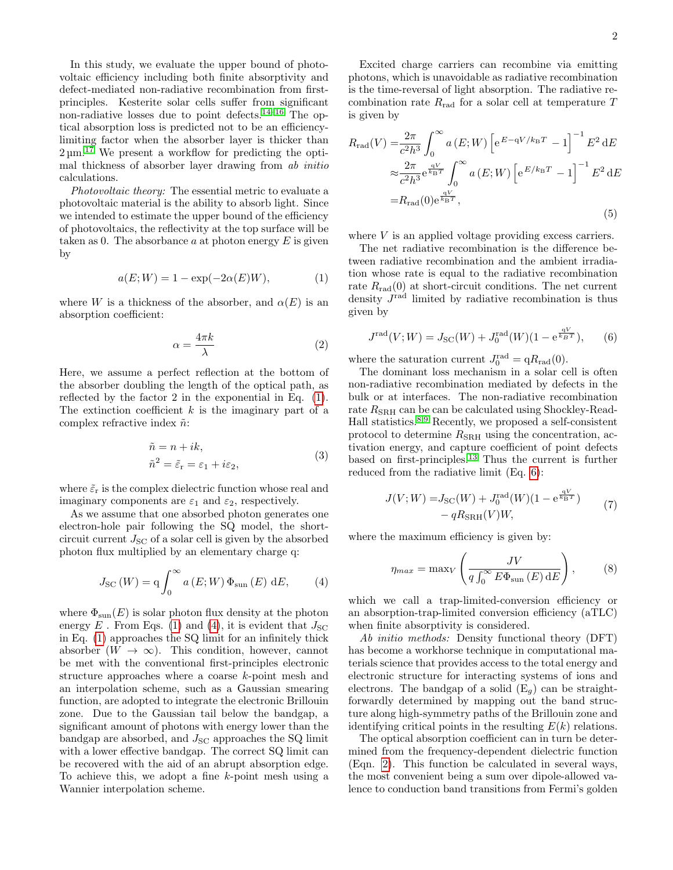In this study, we evaluate the upper bound of photovoltaic efficiency including both finite absorptivity and defect-mediated non-radiative recombination from firstprinciples. Kesterite solar cells suffer from significant non-radiative losses due to point defects.<sup>[14](#page-3-13)[–16](#page-3-14)</sup> The optical absorption loss is predicted not to be an efficiencylimiting factor when the absorber layer is thicker than  $2 \mu m$ <sup>[17](#page-3-15)</sup> We present a workflow for predicting the optimal thickness of absorber layer drawing from ab initio calculations.

Photovoltaic theory: The essential metric to evaluate a photovoltaic material is the ability to absorb light. Since we intended to estimate the upper bound of the efficiency of photovoltaics, the reflectivity at the top surface will be taken as 0. The absorbance  $a$  at photon energy  $E$  is given by

<span id="page-1-0"></span>
$$
a(E;W) = 1 - \exp(-2\alpha(E)W), \tag{1}
$$

where W is a thickness of the absorber, and  $\alpha(E)$  is an absorption coefficient:

<span id="page-1-3"></span>
$$
\alpha = \frac{4\pi k}{\lambda} \tag{2}
$$

Here, we assume a perfect reflection at the bottom of the absorber doubling the length of the optical path, as reflected by the factor 2 in the exponential in Eq. [\(1\)](#page-1-0). The extinction coefficient  $k$  is the imaginary part of a complex refractive index  $\tilde{n}$ :

$$
\tilde{n} = n + ik,
$$
  
\n
$$
\tilde{n}^2 = \tilde{\varepsilon}_r = \varepsilon_1 + i\varepsilon_2,
$$
\n(3)

where  $\tilde{\varepsilon}_{\mathrm{r}}$  is the complex dielectric function whose real and imaginary components are  $\varepsilon_1$  and  $\varepsilon_2$ , respectively.

As we assume that one absorbed photon generates one electron-hole pair following the SQ model, the shortcircuit current  $J_{SC}$  of a solar cell is given by the absorbed photon flux multiplied by an elementary charge q:

<span id="page-1-1"></span>
$$
J_{\rm SC}(W) = q \int_0^\infty a(E;W) \Phi_{\rm sun}(E) dE, \qquad (4)
$$

where  $\Phi_{\text{sun}}(E)$  is solar photon flux density at the photon energy E. From Eqs. [\(1\)](#page-1-0) and [\(4\)](#page-1-1), it is evident that  $J_{SC}$ in Eq. [\(1\)](#page-1-0) approaches the SQ limit for an infinitely thick absorber  $(W \to \infty)$ . This condition, however, cannot be met with the conventional first-principles electronic structure approaches where a coarse k-point mesh and an interpolation scheme, such as a Gaussian smearing function, are adopted to integrate the electronic Brillouin zone. Due to the Gaussian tail below the bandgap, a significant amount of photons with energy lower than the bandgap are absorbed, and  $J_{\rm SC}$  approaches the SQ limit with a lower effective bandgap. The correct SQ limit can be recovered with the aid of an abrupt absorption edge. To achieve this, we adopt a fine k-point mesh using a Wannier interpolation scheme.

Excited charge carriers can recombine via emitting photons, which is unavoidable as radiative recombination is the time-reversal of light absorption. The radiative recombination rate  $R_{\text{rad}}$  for a solar cell at temperature T is given by

$$
R_{\rm rad}(V) = \frac{2\pi}{c^2 h^3} \int_0^\infty a(E;W) \left[ e^{E - qV/k_B T} - 1 \right]^{-1} E^2 dE
$$
  

$$
\approx \frac{2\pi}{c^2 h^3} e^{\frac{qV}{k_B T}} \int_0^\infty a(E;W) \left[ e^{E/k_B T} - 1 \right]^{-1} E^2 dE
$$
  

$$
= R_{\rm rad}(0) e^{\frac{qV}{k_B T}}, \tag{5}
$$

where  $V$  is an applied voltage providing excess carriers.

The net radiative recombination is the difference between radiative recombination and the ambient irradiation whose rate is equal to the radiative recombination rate  $R_{\text{rad}}(0)$  at short-circuit conditions. The net current density  $J^{\text{rad}}$  limited by radiative recombination is thus given by

<span id="page-1-2"></span>
$$
J^{\text{rad}}(V;W) = J_{\text{SC}}(W) + J_0^{\text{rad}}(W)(1 - e^{\frac{qV}{k_B T}}), \quad (6)
$$

where the saturation current  $J_0^{\text{rad}} = q R_{\text{rad}}(0)$ .

The dominant loss mechanism in a solar cell is often non-radiative recombination mediated by defects in the bulk or at interfaces. The non-radiative recombination rate  $R_{\rm SRH}$  can be can be calculated using Shockley-Read-Hall statistics.[8,](#page-3-7)[9](#page-3-8) Recently, we proposed a self-consistent protocol to determine  $R_{\rm SRH}$  using the concentration, activation energy, and capture coefficient of point defects based on first-principles.[13](#page-3-12) Thus the current is further reduced from the radiative limit (Eq. [6\)](#page-1-2):

$$
J(V;W) = J_{\rm SC}(W) + J_0^{\rm rad}(W)(1 - e^{\frac{qV}{k_{\rm B}T}}) - qR_{\rm SRH}(V)W,
$$
\n(7)

<span id="page-1-4"></span>where the maximum efficiency is given by:

$$
\eta_{max} = \max_{V} \left( \frac{JV}{q \int_0^\infty E \Phi_{\text{sun}}(E) \, \mathrm{d}E} \right),\tag{8}
$$

which we call a trap-limited-conversion efficiency or an absorption-trap-limited conversion efficiency (aTLC) when finite absorptivity is considered.

Ab initio methods: Density functional theory (DFT) has become a workhorse technique in computational materials science that provides access to the total energy and electronic structure for interacting systems of ions and electrons. The bandgap of a solid  $(E_q)$  can be straightforwardly determined by mapping out the band structure along high-symmetry paths of the Brillouin zone and identifying critical points in the resulting  $E(k)$  relations.

The optical absorption coefficient can in turn be determined from the frequency-dependent dielectric function (Eqn. [2\)](#page-1-3). This function be calculated in several ways, the most convenient being a sum over dipole-allowed valence to conduction band transitions from Fermi's golden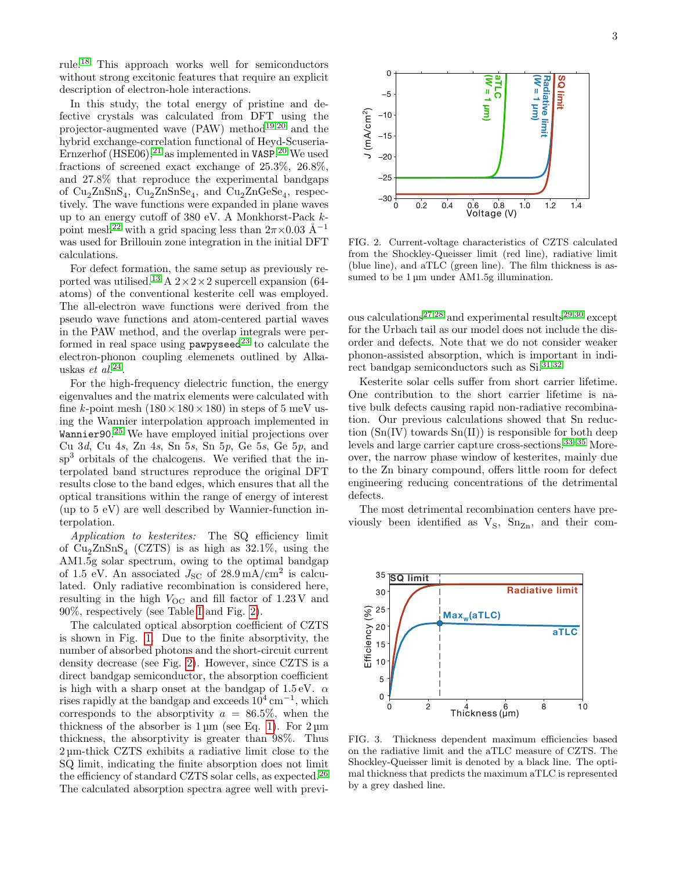rule.[18](#page-4-0) This approach works well for semiconductors without strong excitonic features that require an explicit description of electron-hole interactions.

In this study, the total energy of pristine and defective crystals was calculated from DFT using the projector-augmented wave  $(PAW)$  method<sup>[19,](#page-4-1)[20](#page-4-2)</sup> and the hybrid exchange-correlation functional of Heyd-Scuseria-Ernzerhof  $(HSE06)$ ,<sup>[21](#page-4-3)</sup> as implemented in VASP.<sup>[20](#page-4-2)</sup> We used fractions of screened exact exchange of 25.3%, 26.8%, and 27.8% that reproduce the experimental bandgaps of  $Cu_2ZnSnS_4$ ,  $Cu_2ZnSnSe_4$ , and  $Cu_2ZnGeSe_4$ , respectively. The wave functions were expanded in plane waves up to an energy cutoff of 380 eV. A Monkhorst-Pack k-point mesh<sup>[22](#page-4-4)</sup> with a grid spacing less than  $2\pi \times 0.03$  Å<sup>-1</sup> was used for Brillouin zone integration in the initial DFT calculations.

For defect formation, the same setup as previously re-ported was utilised.<sup>[13](#page-3-12)</sup> A  $2 \times 2 \times 2$  supercell expansion (64atoms) of the conventional kesterite cell was employed. The all-electron wave functions were derived from the pseudo wave functions and atom-centered partial waves in the PAW method, and the overlap integrals were performed in real space using  $p$ awpyseed<sup>[23](#page-4-5)</sup> to calculate the electron-phonon coupling elemenets outlined by Alkauskas *et al.*<sup>[24](#page-4-6)</sup>.

For the high-frequency dielectric function, the energy eigenvalues and the matrix elements were calculated with fine k-point mesh  $(180 \times 180 \times 180)$  in steps of 5 meV using the Wannier interpolation approach implemented in Wannier90.<sup>[25](#page-4-7)</sup> We have employed initial projections over Cu 3d, Cu 4s, Zn 4s, Sn 5s, Sn 5p, Ge 5s, Ge 5p, and sp<sup>3</sup> orbitals of the chalcogens. We verified that the interpolated band structures reproduce the original DFT results close to the band edges, which ensures that all the optical transitions within the range of energy of interest (up to 5 eV) are well described by Wannier-function interpolation.

Application to kesterites: The SQ efficiency limit of  $Cu<sub>2</sub>ZnSnS<sub>4</sub>$  (CZTS) is as high as 32.1%, using the AM1.5g solar spectrum, owing to the optimal bandgap of 1.5 eV. An associated  $J_{\rm SC}$  of  $28.9 \,\mathrm{mA/cm^2}$  is calculated. Only radiative recombination is considered here, resulting in the high  $V_{\text{OC}}$  and fill factor of 1.23 V and 90%, respectively (see Table [I](#page-3-16) and Fig. [2\)](#page-2-0).

The calculated optical absorption coefficient of CZTS is shown in Fig. [1.](#page-0-0) Due to the finite absorptivity, the number of absorbed photons and the short-circuit current density decrease (see Fig. [2\)](#page-2-0). However, since CZTS is a direct bandgap semiconductor, the absorption coefficient is high with a sharp onset at the bandgap of  $1.5 \text{ eV}$ .  $\alpha$ rises rapidly at the bandgap and exceeds  $10^4 \text{ cm}^{-1}$ , which corresponds to the absorptivity  $a = 86.5\%$ , when the thickness of the absorber is  $1 \mu m$  (see Eq. [1\)](#page-1-0). For  $2 \mu m$ thickness, the absorptivity is greater than 98%. Thus 2 µm-thick CZTS exhibits a radiative limit close to the SQ limit, indicating the finite absorption does not limit the efficiency of standard CZTS solar cells, as expected.<sup>[26](#page-4-8)</sup> The calculated absorption spectra agree well with previ-



<span id="page-2-0"></span>FIG. 2. Current-voltage characteristics of CZTS calculated from the Shockley-Queisser limit (red line), radiative limit (blue line), and aTLC (green line). The film thickness is assumed to be  $1 \mu m$  under AM1.5g illumination.

ous calculations<sup>[27](#page-4-9)[,28](#page-4-10)</sup> and experimental results<sup>[29,](#page-4-11)[30](#page-4-12)</sup> except for the Urbach tail as our model does not include the disorder and defects. Note that we do not consider weaker phonon-assisted absorption, which is important in indirect bandgap semiconductors such as  $Si^{31,32}$  $Si^{31,32}$  $Si^{31,32}$  $Si^{31,32}$ 

Kesterite solar cells suffer from short carrier lifetime. One contribution to the short carrier lifetime is native bulk defects causing rapid non-radiative recombination. Our previous calculations showed that Sn reduction  $(Sn(IV)$  towards  $Sn(II))$  is responsible for both deep levels and large carrier capture cross-sections.<sup>[33](#page-4-15)-35</sup> Moreover, the narrow phase window of kesterites, mainly due to the Zn binary compound, offers little room for defect engineering reducing concentrations of the detrimental defects.

The most detrimental recombination centers have previously been identified as  $V_S$ ,  $Sn_{Zn}$ , and their com-



FIG. 3. Thickness dependent maximum efficiencies based on the radiative limit and the aTLC measure of CZTS. The Shockley-Queisser limit is denoted by a black line. The optimal thickness that predicts the maximum aTLC is represented by a grey dashed line.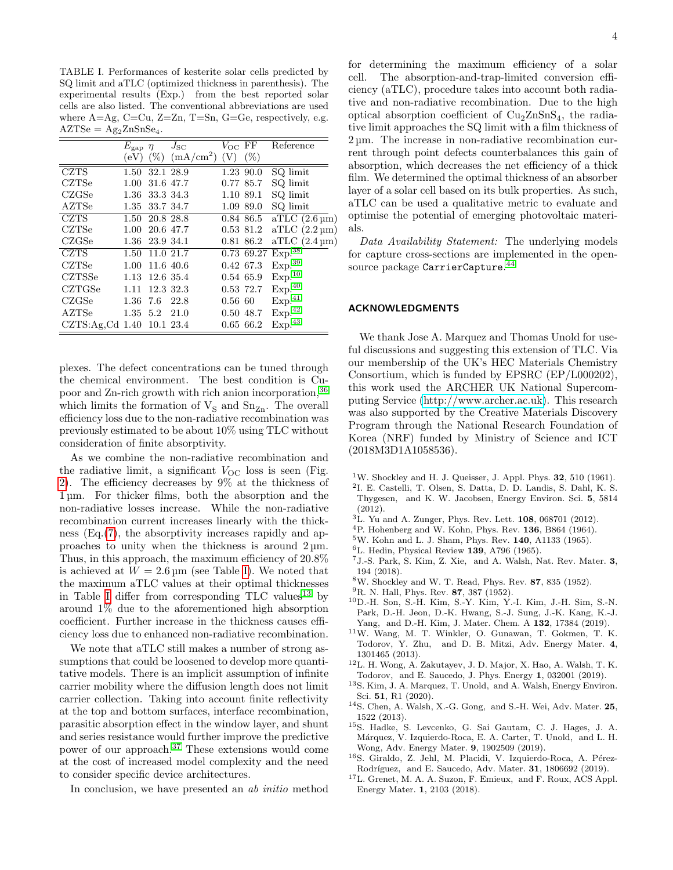<span id="page-3-16"></span>TABLE I. Performances of kesterite solar cells predicted by SQ limit and aTLC (optimized thickness in parenthesis). The experimental results (Exp.) from the best reported solar cells are also listed. The conventional abbreviations are used where  $A=Ag$ ,  $C=Cu$ ,  $Z=Zn$ ,  $T=Sn$ ,  $G=Ge$ , respectively, e.g.  $AZTSe = Ag<sub>2</sub>ZnSnSe<sub>4</sub>$ .

|                           | $E_{\rm gap}$ $\eta$ |           | $J_\mathrm{SC}$       | $V_{\rm OC}$ FF |            | Reference                       |
|---------------------------|----------------------|-----------|-----------------------|-----------------|------------|---------------------------------|
|                           | (eV)                 | $(\%)$    | (mA/cm <sup>2</sup> ) | (V)             | $(\% )$    |                                 |
| <b>CZTS</b>               | 1.50                 |           | 32.1 28.9             |                 | 1.23 90.0  | SQ limit                        |
| <b>CZTSe</b>              | 1.00                 |           | 31.6 47.7             |                 | 0.77 85.7  | SQ limit                        |
| CZGSe                     | $1.36\,$             | 33.3 34.3 |                       |                 | 1.10 89.1  | SQ limit                        |
| AZTSe                     | $1.35\,$             | 33.7 34.7 |                       |                 | 1.09 89.0  | SQ limit                        |
| CZTS                      | 1.50 20.8 28.8       |           |                       |                 | 0.84 86.5  | aTLC $(2.6 \,\mathrm{\upmu m})$ |
| CZTSe                     | 1.00                 | 20.6 47.7 |                       |                 | 0.53 81.2  | $aTLC$ (2.2 µm)                 |
| CZGSe                     | $1.36\,$             | 23.9 34.1 |                       |                 | 0.81 86.2  | $aTLC(2.4 \,\mu m)$             |
| <b>CZTS</b>               | 1.50                 | 11.0 21.7 |                       |                 | 0.73 69.27 | Exp. <sup>38</sup>              |
| CZTSe                     | 1.00                 | 11.6 40.6 |                       |                 | 0.42 67.3  | Exp. <sup>39</sup>              |
| CZTSSe                    | 1.13 12.6 35.4       |           |                       |                 | 0.54 65.9  | Exp. <sup>10</sup>              |
| CZTGSe                    | 1.11                 | 12.3 32.3 |                       |                 | 0.53 72.7  | Exp. <sup>40</sup>              |
| CZGSe                     | 1.36 7.6             |           | 22.8                  | $0.56\,60$      |            | Exp. <sup>41</sup>              |
| AZTSe                     | $1.35 \t 5.2$        |           | 21.0                  |                 | 0.50 48.7  | $\mbox{Exp.}^{42}$              |
| CZTS:Ag,Cd 1.40 10.1 23.4 |                      |           |                       |                 | 0.65 66.2  | Exp. <sup>43</sup>              |

plexes. The defect concentrations can be tuned through the chemical environment. The best condition is Cupoor and Zn-rich growth with rich anion incorporation,[36](#page-4-23) which limits the formation of  $V_S$  and  $Sn_{Zn}$ . The overall efficiency loss due to the non-radiative recombination was previously estimated to be about 10% using TLC without consideration of finite absorptivity.

As we combine the non-radiative recombination and the radiative limit, a significant  $V_{\text{OC}}$  loss is seen (Fig. [2\)](#page-2-0). The efficiency decreases by 9% at the thickness of 1 µm. For thicker films, both the absorption and the non-radiative losses increase. While the non-radiative recombination current increases linearly with the thickness (Eq.[\(7\)](#page-1-4), the absorptivity increases rapidly and approaches to unity when the thickness is around 2 µm. Thus, in this approach, the maximum efficiency of 20.8% is achieved at  $W = 2.6 \,\text{\mu m}$  (see Table [I\)](#page-3-16). We noted that the maximum aTLC values at their optimal thicknesses in Table [I](#page-3-16) differ from corresponding  $TLC$  values<sup>[13](#page-3-12)</sup> by around 1% due to the aforementioned high absorption coefficient. Further increase in the thickness causes efficiency loss due to enhanced non-radiative recombination.

We note that aTLC still makes a number of strong assumptions that could be loosened to develop more quantitative models. There is an implicit assumption of infinite carrier mobility where the diffusion length does not limit carrier collection. Taking into account finite reflectivity at the top and bottom surfaces, interface recombination, parasitic absorption effect in the window layer, and shunt and series resistance would further improve the predictive power of our approach.[37](#page-4-24) These extensions would come at the cost of increased model complexity and the need to consider specific device architectures.

In conclusion, we have presented an ab initio method

for determining the maximum efficiency of a solar cell. The absorption-and-trap-limited conversion efficiency (aTLC), procedure takes into account both radiative and non-radiative recombination. Due to the high optical absorption coefficient of  $Cu<sub>2</sub>ZnSnS<sub>4</sub>$ , the radiative limit approaches the SQ limit with a film thickness of 2 µm. The increase in non-radiative recombination current through point defects counterbalances this gain of absorption, which decreases the net efficiency of a thick film. We determined the optimal thickness of an absorber layer of a solar cell based on its bulk properties. As such, aTLC can be used a qualitative metric to evaluate and optimise the potential of emerging photovoltaic materials.

Data Availability Statement: The underlying models for capture cross-sections are implemented in the open- $\,$ source package  $\,$ Carrier $\,$ Cap $\,$ ture. $^{44}$  $^{44}$  $^{44}$ 

## ACKNOWLEDGMENTS

We thank Jose A. Marquez and Thomas Unold for useful discussions and suggesting this extension of TLC. Via our membership of the UK's HEC Materials Chemistry Consortium, which is funded by EPSRC (EP/L000202), this work used the ARCHER UK National Supercomputing Service [\(http://www.archer.ac.uk\)](http://www.archer.ac.uk). This research was also supported by the Creative Materials Discovery Program through the National Research Foundation of Korea (NRF) funded by Ministry of Science and ICT (2018M3D1A1058536).

- <span id="page-3-0"></span> $1$ W. Shockley and H. J. Queisser, J. Appl. Phys. 32, 510 (1961).
- <span id="page-3-1"></span>2 I. E. Castelli, T. Olsen, S. Datta, D. D. Landis, S. Dahl, K. S. Thygesen, and K. W. Jacobsen, Energy Environ. Sci. 5, 5814 (2012).
- <span id="page-3-2"></span> ${}^{3}$ L. Yu and A. Zunger, Phys. Rev. Lett. 108, 068701 (2012).
- <span id="page-3-3"></span><sup>4</sup>P. Hohenberg and W. Kohn, Phys. Rev. 136, B864 (1964).
- <span id="page-3-4"></span><sup>5</sup>W. Kohn and L. J. Sham, Phys. Rev. 140, A1133 (1965).
- <span id="page-3-5"></span> ${}^{6}$ L. Hedin, Physical Review 139, A796 (1965).
- <span id="page-3-6"></span><sup>7</sup>J.-S. Park, S. Kim, Z. Xie, and A. Walsh, Nat. Rev. Mater. 3, 194 (2018).
- <span id="page-3-7"></span><sup>8</sup>W. Shockley and W. T. Read, Phys. Rev. 87, 835 (1952).
- <span id="page-3-8"></span> $^{9}$ R. N. Hall, Phys. Rev. 87, 387 (1952).
- <span id="page-3-9"></span><sup>10</sup>D.-H. Son, S.-H. Kim, S.-Y. Kim, Y.-I. Kim, J.-H. Sim, S.-N. Park, D.-H. Jeon, D.-K. Hwang, S.-J. Sung, J.-K. Kang, K.-J. Yang, and D.-H. Kim, J. Mater. Chem. A 132, 17384 (2019).
- <span id="page-3-10"></span><sup>11</sup>W. Wang, M. T. Winkler, O. Gunawan, T. Gokmen, T. K. Todorov, Y. Zhu, and D. B. Mitzi, Adv. Energy Mater. 4, 1301465 (2013).
- <span id="page-3-11"></span><sup>12</sup>L. H. Wong, A. Zakutayev, J. D. Major, X. Hao, A. Walsh, T. K. Todorov, and E. Saucedo, J. Phys. Energy 1, 032001 (2019).
- <span id="page-3-12"></span><sup>13</sup>S. Kim, J. A. Marquez, T. Unold, and A. Walsh, Energy Environ. Sci. 51, R1 (2020).
- <span id="page-3-13"></span><sup>14</sup>S. Chen, A. Walsh, X.-G. Gong, and S.-H. Wei, Adv. Mater. 25, 1522 (2013).
- <sup>15</sup>S. Hadke, S. Levcenko, G. Sai Gautam, C. J. Hages, J. A. Márquez, V. Izquierdo-Roca, E. A. Carter, T. Unold, and L. H. Wong, Adv. Energy Mater. 9, 1902509 (2019).
- <span id="page-3-14"></span><sup>16</sup>S. Giraldo, Z. Jehl, M. Placidi, V. Izquierdo-Roca, A. Pérez-Rodríguez, and E. Saucedo, Adv. Mater. **31**, 1806692 (2019).
- <span id="page-3-15"></span><sup>17</sup>L. Grenet, M. A. A. Suzon, F. Emieux, and F. Roux, ACS Appl. Energy Mater. 1, 2103 (2018).